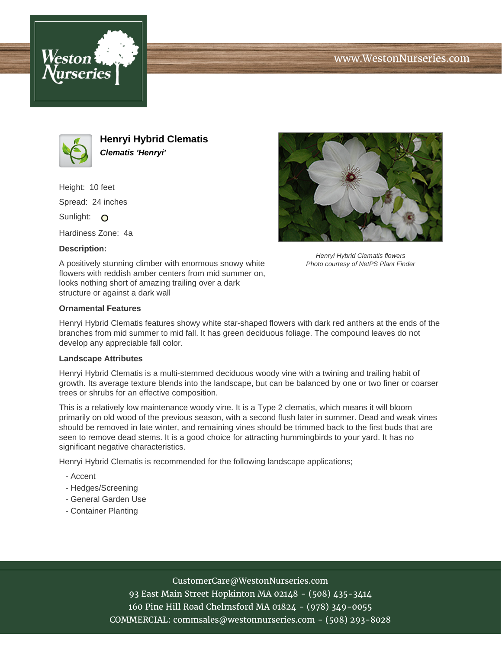





**Henryi Hybrid Clematis Clematis 'Henryi'**

Height: 10 feet Spread: 24 inches Sunlight: O

Hardiness Zone: 4a

### **Description:**



Henryi Hybrid Clematis flowers Photo courtesy of NetPS Plant Finder

A positively stunning climber with enormous snowy white flowers with reddish amber centers from mid summer on, looks nothing short of amazing trailing over a dark structure or against a dark wall

#### **Ornamental Features**

Henryi Hybrid Clematis features showy white star-shaped flowers with dark red anthers at the ends of the branches from mid summer to mid fall. It has green deciduous foliage. The compound leaves do not develop any appreciable fall color.

#### **Landscape Attributes**

Henryi Hybrid Clematis is a multi-stemmed deciduous woody vine with a twining and trailing habit of growth. Its average texture blends into the landscape, but can be balanced by one or two finer or coarser trees or shrubs for an effective composition.

This is a relatively low maintenance woody vine. It is a Type 2 clematis, which means it will bloom primarily on old wood of the previous season, with a second flush later in summer. Dead and weak vines should be removed in late winter, and remaining vines should be trimmed back to the first buds that are seen to remove dead stems. It is a good choice for attracting hummingbirds to your yard. It has no significant negative characteristics.

Henryi Hybrid Clematis is recommended for the following landscape applications;

- Accent
- Hedges/Screening
- General Garden Use
- Container Planting

# CustomerCare@WestonNurseries.com

93 East Main Street Hopkinton MA 02148 - (508) 435-3414 160 Pine Hill Road Chelmsford MA 01824 - (978) 349-0055 COMMERCIAL: commsales@westonnurseries.com - (508) 293-8028